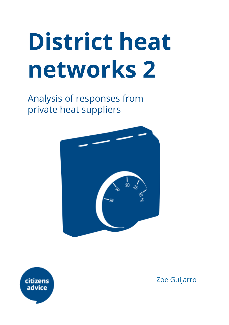# **District heat networks 2**

Analysis of responses from private heat suppliers





Zoe Guijarro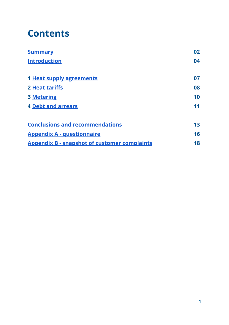### **Contents**

<span id="page-1-8"></span><span id="page-1-7"></span><span id="page-1-6"></span><span id="page-1-5"></span><span id="page-1-4"></span><span id="page-1-3"></span><span id="page-1-2"></span><span id="page-1-1"></span><span id="page-1-0"></span>

| <b>Summary</b>                                      | 02 |
|-----------------------------------------------------|----|
| <b>Introduction</b>                                 | 04 |
| 1 Heat supply agreements                            | 07 |
| <b>2 Heat tariffs</b>                               | 08 |
| <b>3 Metering</b>                                   | 10 |
| <b>4 Debt and arrears</b>                           | 11 |
| <b>Conclusions and recommendations</b>              | 13 |
| <b>Appendix A - questionnaire</b>                   | 16 |
| <b>Appendix B - snapshot of customer complaints</b> | 18 |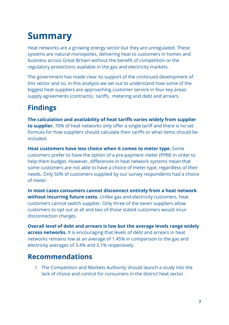### **Summary**

Heat networks are a growing energy sector but they are unregulated. These systems are natural monopolies, delivering heat to customers in homes and business across Great Britain without the benefit of competition or the regulatory protections available in the gas and electricity markets.

The government has made clear its support of the continued development of this sector and so, in this analysis we set out to understand how some of the biggest heat suppliers are approaching customer service in four key areas: supply agreements (contracts), tariffs, metering and debt and arrears.

### **Findings**

**The calculation and availability of heat tariffs varies widely from supplier to supplier.** 70% of heat networks only offer a single tariff and there is no set formula for how suppliers should calculate their tariffs or what items should be included.

**Heat customers have less choice when it comes to meter type.** Some customers prefer to have the option of a pre-payment meter (PPM) in order to help them budget. However, differences in heat network systems mean that some customers are not able to have a choice of meter type, regardless of their needs. Only 50% of customers supplied by our survey respondents had a choice of meter.

**In most cases consumers cannot disconnect entirely from a heat network without incurring future costs.** Unlike gas and electricity customers, heat customers cannot switch supplier. Only three of the seven suppliers allow customers to opt out at all and two of those stated customers would incur disconnection charges.

**Overall level of debt and arrears is low but the average levels range widely across networks.** It is encouraging that levels of debt and arrears in heat networks remains low at an average of 1.45% in comparison to the gas and electricity averages of 3.4% and 3.1% respectively.

### **Recommendations**

1. The Competition and Markets Authority should launch a study into the lack of choice and control for consumers in the district heat sector.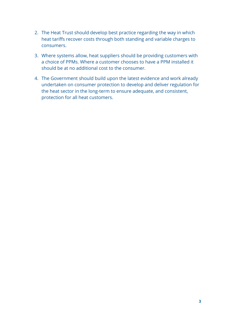- 2. The Heat Trust should develop best practice regarding the way in which heat tariffs recover costs through both standing and variable charges to consumers.
- 3. Where systems allow, heat suppliers should be providing customers with a choice of PPMs. Where a customer chooses to have a PPM installed it should be at no additional cost to the consumer.
- 4. The Government should build upon the latest evidence and work already undertaken on consumer protection to develop and deliver regulation for the heat sector in the long-term to ensure adequate, and consistent, protection for all heat customers.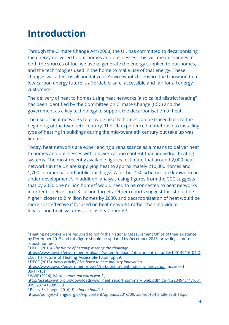### **Introduction**

Through the Climate Change Act (2008) the UK has committed to decarbonising the energy delivered to our homes and businesses. This will mean changes to both the sources of fuel we use to generate the energy supplied to our homes, and the technologies used in the home to make use of that energy. These changes will affect us all and Citizens Advice wants to ensure the transition to a low-carbon energy future is affordable, safe, accessible and fair for all energy customers.

The delivery of heat to homes using heat networks (also called 'district heating') has been identified by the Committee on Climate Change (CCC) and the government as a key technology to support the decarbonisation of heat.

The use of heat networks to provide heat to homes can be traced back to the beginning of the twentieth century. The UK experienced a brief rush to installing type of heating in buildings during the mid-twentieth century but take up was limited.

Today, heat networks are experiencing a renaissance as a means to deliver heat to homes and businesses with a lower carbon content than individual heating systems. The most recently available figures<sup>1</sup> estimate that around 2,000 heat networks in the UK are supplying heat to approximately 210,000 homes and 1,700 commercial and public buildings<sup>2</sup>. A further 150 schemes are known to be under development<sup>3</sup>. In addition, analysis using figures from the CCC suggests that by 2030 one million homes $4$  would need to be connected to heat networks in order to deliver on UK carbon targets. Other reports suggest this should be higher, closer to 2 million homes by 2030, and decarbonisation of heat would be more cost-effective if focused on heat networks rather than individual low-carbon heat systems such as heat pumps<sup>5</sup>.

<sup>1</sup> Heating networks were required to notify the National Measurement Office of their existence by December 2015 and this figure should be updated by December 2016, providing a more robust number.

<sup>2</sup> DECC (2013), *The future of heating: meeting the challenge,*

[https://www.gov.uk/government/uploads/system/uploads/attachment\\_data/file/190149/16\\_04-D](https://www.gov.uk/government/uploads/system/uploads/attachment_data/file/190149/16_04-DECC-The_Future_of_Heating_Accessible-10.pdf) ECC-The Future of Heating Accessible-10.pdf pp 39.

<sup>3</sup> DECC (2015), news article, *£7m boost to heat industry innovation*,

<https://www.gov.uk/government/news/7m-boost-to-heat-industry-innovation> [accessed 05/11/15]

<sup>4</sup> WWF (2014), *Warm homes not warm words,*

[http://assets.wwf.org.uk/downloads/wwf\\_heat\\_report\\_summary\\_web.pdf?\\_ga=1.223494811.1661](http://assets.wwf.org.uk/downloads/wwf_heat_report_summary_web.pdf?_ga=1.223494811.1661905323.1413989380) [905323.1413989380](http://assets.wwf.org.uk/downloads/wwf_heat_report_summary_web.pdf?_ga=1.223494811.1661905323.1413989380)

<sup>5</sup> Policy Exchange (2016) *Too hot to handle?*

<https://policyexchange.org.uk/wp-content/uploads/2016/09/too-hot-to-handle-sept-16.pdf>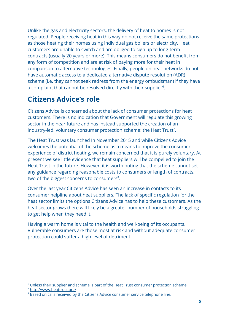Unlike the gas and electricity sectors, the delivery of heat to homes is not regulated. People receiving heat in this way do not receive the same protections as those heating their homes using individual gas boilers or electricity. Heat customers are unable to switch and are obliged to sign up to long-term contracts (usually 20 years or more). This means consumers do not benefit from any form of competition and are at risk of paying more for their heat in comparison to alternative technologies. Finally, people on heat networks do not have automatic access to a dedicated alternative dispute resolution (ADR) scheme (i.e. they cannot seek redress from the energy ombudsman) if they have a complaint that cannot be resolved directly with their supplier<sup>6</sup>.

#### **Citizens Advice's role**

Citizens Advice is concerned about the lack of consumer protections for heat customers. There is no indication that Government will regulate this growing sector in the near future and has instead supported the creation of an industry-led, voluntary consumer protection scheme: the Heat Trust<sup>7</sup>.

The Heat Trust was launched In November 2015 and while Citizens Advice welcomes the potential of the scheme as a means to improve the consumer experience of district heating, we remain concerned that it is purely voluntary. At present we see little evidence that heat suppliers will be compelled to join the Heat Trust in the future. However, it is worth noting that the scheme cannot set any guidance regarding reasonable costs to consumers or length of contracts, two of the biggest concerns to consumers $8$ .

Over the last year Citizens Advice has seen an increase in contacts to its consumer helpline about heat suppliers. The lack of specific regulation for the heat sector limits the options Citizens Advice has to help these customers. As the heat sector grows there will likely be a greater number of households struggling to get help when they need it.

Having a warm home is vital to the health and well-being of its occupants. Vulnerable consumers are those most at risk and without adequate consumer protection could suffer a high level of detriment.

<sup>&</sup>lt;sup>6</sup> Unless their supplier and scheme is part of the Heat Trust consumer protection scheme.

<sup>7</sup> <http://www.heattrust.org/>

<sup>&</sup>lt;sup>8</sup> Based on calls received by the Citizens Advice consumer service telephone line.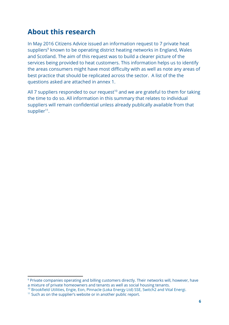### **About this research**

In May 2016 Citizens Advice issued an information request to 7 private heat suppliers<sup>9</sup> known to be operating district heating networks in England, Wales and Scotland. The aim of this request was to build a clearer picture of the services being provided to heat customers. This information helps us to identify the areas consumers might have most difficulty with as well as note any areas of best practice that should be replicated across the sector. A list of the the questions asked are attached in annex 1.

All 7 suppliers responded to our request<sup>10</sup> and we are grateful to them for taking the time to do so. All information in this summary that relates to individual suppliers will remain confidential unless already publically available from that supplier<sup>11</sup>.

<sup>&</sup>lt;sup>9</sup> Private companies operating and billing customers directly. Their networks will, however, have a mixture of private homeowners and tenants as well as social housing tenants.

<sup>10</sup> Brookfield Utilities, Engie, Eon, Pinnacle (Loka Energy Ltd) SSE, Switch2 and Vital Energi.

<sup>&</sup>lt;sup>11</sup> Such as on the supplier's website or in another public report.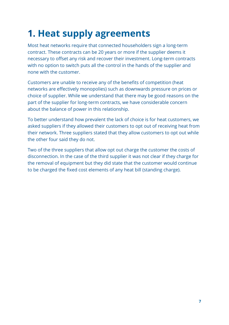### **1. Heat supply agreements**

Most heat networks require that connected householders sign a long-term contract. These contracts can be 20 years or more if the supplier deems it necessary to offset any risk and recover their investment. Long-term contracts with no option to switch puts all the control in the hands of the supplier and none with the customer.

Customers are unable to receive any of the benefits of competition (heat networks are effectively monopolies) such as downwards pressure on prices or choice of supplier. While we understand that there may be good reasons on the part of the supplier for long-term contracts, we have considerable concern about the balance of power in this relationship.

To better understand how prevalent the lack of choice is for heat customers, we asked suppliers if they allowed their customers to opt out of receiving heat from their network. Three suppliers stated that they allow customers to opt out while the other four said they do not.

Two of the three suppliers that allow opt out charge the customer the costs of disconnection. In the case of the third supplier it was not clear if they charge for the removal of equipment but they did state that the customer would continue to be charged the fixed cost elements of any heat bill (standing charge).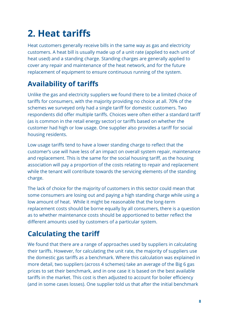### **2. Heat tariffs**

Heat customers generally receive bills in the same way as gas and electricity customers. A heat bill is usually made up of a unit rate (applied to each unit of heat used) and a standing charge. Standing charges are generally applied to cover any repair and maintenance of the heat network, and for the future replacement of equipment to ensure continuous running of the system.

### **Availability of tariffs**

Unlike the gas and electricity suppliers we found there to be a limited choice of tariffs for consumers, with the majority providing no choice at all. 70% of the schemes we surveyed only had a single tariff for domestic customers. Two respondents did offer multiple tariffs. Choices were often either a standard tariff (as is common in the retail energy sector) or tariffs based on whether the customer had high or low usage. One supplier also provides a tariff for social housing residents.

Low usage tariffs tend to have a lower standing charge to reflect that the customer's use will have less of an impact on overall system repair, maintenance and replacement. This is the same for the social housing tariff, as the housing association will pay a proportion of the costs relating to repair and replacement while the tenant will contribute towards the servicing elements of the standing charge.

The lack of choice for the majority of customers in this sector could mean that some consumers are losing out and paying a high standing charge while using a low amount of heat. While it might be reasonable that the long-term replacement costs should be borne equally by all consumers, there is a question as to whether maintenance costs should be apportioned to better reflect the different amounts used by customers of a particular system.

### **Calculating the tariff**

We found that there are a range of approaches used by suppliers in calculating their tariffs. However, for calculating the unit rate, the majority of suppliers use the domestic gas tariffs as a benchmark. Where this calculation was explained in more detail, two suppliers (across 4 schemes) take an average of the Big 6 gas prices to set their benchmark, and in one case it is based on the best available tariffs in the market. This cost is then adjusted to account for boiler efficiency (and in some cases losses). One supplier told us that after the initial benchmark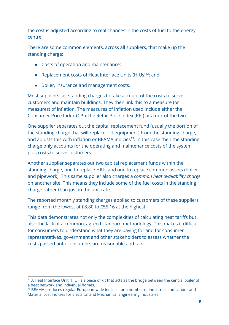the cost is adjusted according to real changes in the costs of fuel to the energy centre.

There are some common elements, across all suppliers, that make up the standing charge:

- Costs of operation and maintenance;
- Replacement costs of Heat Interface Units (HIUs) $^{12}$ ; and
- Boiler, insurance and management costs.

Most suppliers set standing charges to take account of the costs to serve customers and maintain buildings. They then link this to a measure (or measures) of inflation. The measures of inflation used include either the Consumer Price Index (CPI), the Retail Price Index (RPI) or a mix of the two.

One supplier separates out the capital replacement fund (usually the portion of the standing charge that will replace old equipment) from the standing charge, and adjusts this with inflation or BEAMA indicies<sup>13</sup>. In this case then the standing charge only accounts for the operating and maintenance costs of the system plus costs to serve customers.

Another supplier separates out two capital replacement funds within the standing charge, one to replace HIUs and one to replace common assets (boiler and pipework). This same supplier also charges a *common heat availability charge* on another site. This means they include some of the fuel costs in the standing charge rather than just in the unit rate.

The reported monthly standing charges applied to customers of these suppliers range from the lowest at £8.80 to £55.16 at the highest.

This data demonstrates not only the complexities of calculating heat tariffs but also the lack of a common, agreed standard methodology. This makes it difficult for consumers to understand what they are paying for and for consumer representatives, government and other stakeholders to assess whether the costs passed onto consumers are reasonable and fair.

<sup>&</sup>lt;sup>12</sup> A Heat Interface Unit (HIU) is a piece of kit that acts as the bridge between the central boiler of a heat network and individual homes.

<sup>&</sup>lt;sup>13</sup> BEAMA produces regular European-wide indicies for a number of industries and Labour and Material cost indicies for Electrical and Mechanical Engineering industries.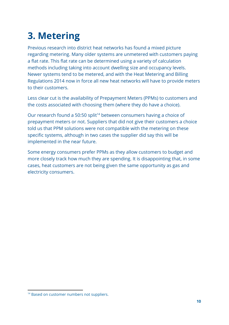## **3. Metering**

Previous research into district heat networks has found a mixed picture regarding metering. Many older systems are unmetered with customers paying a flat rate. This flat rate can be determined using a variety of calculation methods including taking into account dwelling size and occupancy levels. Newer systems tend to be metered, and with the Heat Metering and Billing Regulations 2014 now in force all new heat networks will have to provide meters to their customers.

Less clear cut is the availability of Prepayment Meters (PPMs) to customers and the costs associated with choosing them (where they do have a choice).

Our research found a 50:50 split<sup>14</sup> between consumers having a choice of prepayment meters or not. Suppliers that did not give their customers a choice told us that PPM solutions were not compatible with the metering on these specific systems, although in two cases the supplier did say this will be implemented in the near future.

Some energy consumers prefer PPMs as they allow customers to budget and more closely track how much they are spending. It is disappointing that, in some cases, heat customers are not being given the same opportunity as gas and electricity consumers.

<sup>&</sup>lt;sup>14</sup> Based on customer numbers not suppliers.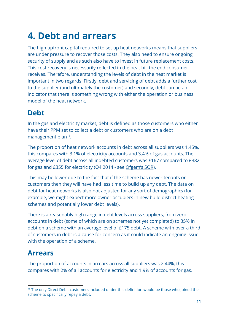### **4. Debt and arrears**

The high upfront capital required to set up heat networks means that suppliers are under pressure to recover those costs. They also need to ensure ongoing security of supply and as such also have to invest in future replacement costs. This cost recovery is necessarily reflected in the heat bill the end consumer receives. Therefore, understanding the levels of debt in the heat market is important in two regards. Firstly, debt and servicing of debt adds a further cost to the supplier (and ultimately the customer) and secondly, debt can be an indicator that there is something wrong with either the operation or business model of the heat network.

#### **Debt**

In the gas and electricity market, debt is defined as those customers who either have their PPM set to collect a debt or customers who are on a debt management plan<sup>15</sup>.

The proportion of heat network accounts in debt across all suppliers was 1.45%, this compares with 3.1% of electricity accounts and 3.4% of gas accounts. The average level of debt across all indebted customers was £167 compared to £382 for gas and £355 for electricity (Q4 2014 - see [Ofgem's SOR\)](https://www.ofgem.gov.uk/about-us/how-we-work/working-consumers/supplier-performance-social-obligations).

This may be lower due to the fact that if the scheme has newer tenants or customers then they will have had less time to build up any debt. The data on debt for heat networks is also not adjusted for any sort of demographics (for example, we might expect more owner occupiers in new build district heating schemes and potentially lower debt levels).

There is a reasonably high range in debt levels across suppliers, from zero accounts in debt (some of which are on schemes not yet completed) to 35% in debt on a scheme with an average level of £175 debt. A scheme with over a third of customers in debt is a cause for concern as it could indicate an ongoing issue with the operation of a scheme.

### **Arrears**

The proportion of accounts in arrears across all suppliers was 2.44%, this compares with 2% of all accounts for electricity and 1.9% of accounts for gas.

<sup>&</sup>lt;sup>15</sup> The only Direct Debit customers included under this definition would be those who joined the scheme to specifically repay a debt.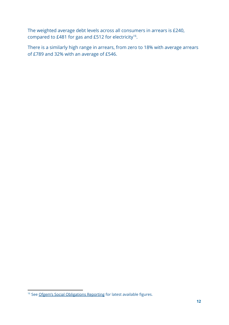The weighted average debt levels across all consumers in arrears is £240, compared to £481 for gas and £512 for electricity<sup>16</sup>.

There is a similarly high range in arrears, from zero to 18% with average arrears of £789 and 32% with an average of £546.

<sup>&</sup>lt;sup>16</sup> See Ofgem's Social [Obligations](https://www.ofgem.gov.uk/about-us/how-we-work/working-consumers/supplier-performance-social-obligations) Reporting for latest available figures.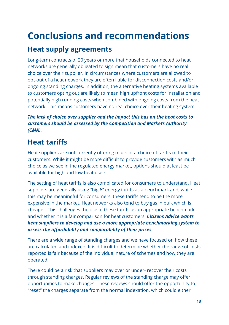### **Conclusions and recommendations**

### **Heat supply agreements**

Long-term contracts of 20 years or more that households connected to heat networks are generally obligated to sign mean that customers have no real choice over their supplier. In circumstances where customers are allowed to opt-out of a heat network they are often liable for disconnection costs and/or ongoing standing charges. In addition, the alternative heating systems available to customers opting out are likely to mean high upfront costs for installation and potentially high running costs when combined with ongoing costs from the heat network. This means customers have no real choice over their heating system.

#### *The lack of choice over supplier and the impact this has on the heat costs to customers should be assessed by the Competition and Markets Authority (CMA).*

### **Heat tariffs**

Heat suppliers are not currently offering much of a choice of tariffs to their customers. While it might be more difficult to provide customers with as much choice as we see in the regulated energy market, options should at least be available for high and low heat users.

The setting of heat tariffs is also complicated for consumers to understand. Heat suppliers are generally using "big 6" energy tariffs as a benchmark and, while this may be meaningful for consumers, these tariffs tend to be the more expensive in the market. Heat networks also tend to buy gas in bulk which is cheaper. This challenges the use of these tariffs as an appropriate benchmark and whether it is a fair comparison for heat customers. *Citizens Advice wants heat suppliers to develop and use a more appropriate benchmarking system to assess the affordability and comparability of their prices.*

There are a wide range of standing charges and we have focused on how these are calculated and indexed. It is difficult to determine whether the range of costs reported is fair because of the individual nature of schemes and how they are operated.

There could be a risk that suppliers may over or under- recover their costs through standing charges. Regular reviews of the standing charge may offer opportunities to make changes. These reviews should offer the opportunity to "reset" the charges separate from the normal indexation, which could either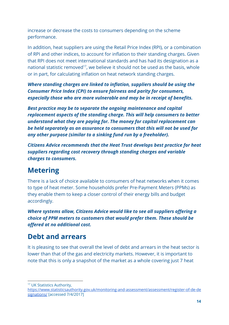increase or decrease the costs to consumers depending on the scheme performance.

In addition, heat suppliers are using the Retail Price Index (RPI), or a combination of RPI and other indices, to account for inflation to their standing charges. Given that RPI does not meet international standards and has had its designation as a national statistic removed<sup>17</sup>, we believe it should not be used as the basis, whole or in part, for calculating inflation on heat network standing charges.

*Where standing charges are linked to inflation, suppliers should be using the Consumer Price Index (CPI) to ensure fairness and parity for consumers, especially those who are more vulnerable and may be in receipt of benefits.*

*Best practice may be to separate the ongoing maintenance and capital replacement aspects of the standing charge. This will help consumers to better understand what they are paying for. The money for capital replacement can be held separately as an assurance to consumers that this will not be used for any other purpose (similar to a sinking fund run by a freeholder).*

*Citizens Advice recommends that the Heat Trust develops best practice for heat suppliers regarding cost recovery through standing charges and variable charges to consumers.*

### **Metering**

There is a lack of choice available to consumers of heat networks when it comes to type of heat meter. Some households prefer Pre-Payment Meters (PPMs) as they enable them to keep a closer control of their energy bills and budget accordingly.

*Where systems allow, Citizens Advice would like to see all suppliers offering a choice of PPM meters to customers that would prefer them. These should be offered at no additional cost.*

#### **Debt and arrears**

It is pleasing to see that overall the level of debt and arrears in the heat sector is lower than that of the gas and electricity markets. However, it is important to note that this is only a snapshot of the market as a whole covering just 7 heat

<sup>17</sup> UK Statistics Authority,

[https://www.statisticsauthority.gov.uk/monitoring-and-assessment/assessment/register-of-de-de](https://www.statisticsauthority.gov.uk/monitoring-and-assessment/assessment/register-of-de-designations/) [signations/](https://www.statisticsauthority.gov.uk/monitoring-and-assessment/assessment/register-of-de-designations/) [accessed 7/4/2017]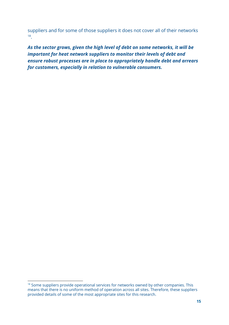suppliers and for some of those suppliers it does not cover all of their networks . 18

*As the sector grows, given the high level of debt on some networks, it will be important for heat network suppliers to monitor their levels of debt and ensure robust processes are in place to appropriately handle debt and arrears for customers, especially in relation to vulnerable consumers.*

<sup>&</sup>lt;sup>18</sup> Some suppliers provide operational services for networks owned by other companies. This means that there is no uniform method of operation across all sites. Therefore, these suppliers provided details of some of the most appropriate sites for this research.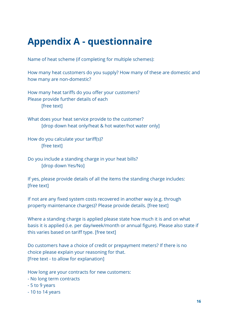### **Appendix A - questionnaire**

Name of heat scheme (if completing for multiple schemes):

How many heat customers do you supply? How many of these are domestic and how many are non-domestic?

How many heat tariffs do you offer your customers? Please provide further details of each [free text]

What does your heat service provide to the customer? [drop down heat only/heat & hot water/hot water only]

How do you calculate your tariff(s)? [free text]

Do you include a standing charge in your heat bills? [drop down Yes/No]

If yes, please provide details of all the items the standing charge includes: [free text]

If not are any fixed system costs recovered in another way (e.g. through property maintenance charges)? Please provide details. [free text]

Where a standing charge is applied please state how much it is and on what basis it is applied (i.e. per day/week/month or annual figure). Please also state if this varies based on tariff type. [free text]

Do customers have a choice of credit or prepayment meters? If there is no choice please explain your reasoning for that. [Free text - to allow for explanation]

How long are your contracts for new customers:

- No long term contracts
- 5 to 9 years
- 10 to 14 years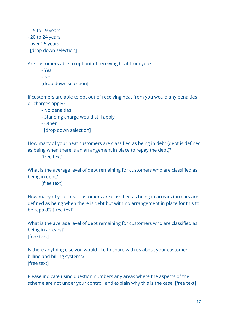- 15 to 19 years

- 20 to 24 years

- over 25 years

[drop down selection]

Are customers able to opt out of receiving heat from you?

- Yes
- No

[drop down selection]

If customers are able to opt out of receiving heat from you would any penalties or charges apply?

- No penalties
- Standing charge would still apply
- Other

[drop down selection]

How many of your heat customers are classified as being in debt (debt is defined as being when there is an arrangement in place to repay the debt)?

[free text]

What is the average level of debt remaining for customers who are classified as being in debt?

[free text]

How many of your heat customers are classified as being in arrears (arrears are defined as being when there is debt but with no arrangement in place for this to be repaid)? [free text]

What is the average level of debt remaining for customers who are classified as being in arrears? [free text]

Is there anything else you would like to share with us about your customer billing and billing systems? [free text]

Please indicate using question numbers any areas where the aspects of the scheme are not under your control, and explain why this is the case. [free text]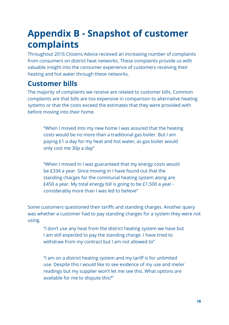### **Appendix B - Snapshot of customer complaints**

Throughout 2016 Citizens Advice received an increasing number of complaints from consumers on district heat networks. These complaints provide us with valuable insight into the consumer experience of customers receiving their heating and hot water through these networks.

#### **Customer bills**

The majority of complaints we receive are related to customer bills. Common complaints are that bills are too expensive in comparison to alternative heating systems or that the costs exceed the estimates that they were provided with before moving into their home.

"When I moved into my new home I was assured that the heating costs would be no more than a traditional gas boiler. But I am paying £1 a day for my heat and hot water, as gas boiler would only cost me 30p a day"

"When I moved in I was guaranteed that my energy costs would be £334 a year. Since moving in I have found out that the standing charges for the communal heating system along are £450 a year. My total energy bill is going to be £1,500 a year considerably more than I was led to believe"

Some customers questioned their tariffs and standing charges. Another query was whether a customer had to pay standing charges for a system they were not using.

"I don't use any heat from the district heating system we have but I am still expected to pay the standing charge. I have tried to withdraw from my contract but I am not allowed to"

"I am on a district heating system and my tariff is for unlimited use. Despite this I would like to see evidence of my use and meter readings but my supplier won't let me see this. What options are available for me to dispute this?"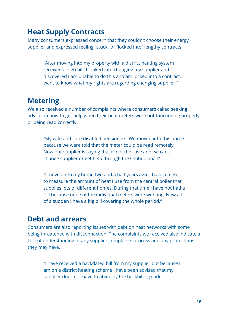#### **Heat Supply Contracts**

Many consumers expressed concern that they couldn't choose their energy supplier and expressed feeling "stuck" or "locked into" lengthy contracts.

"After moving into my property with a district heating system I received a high bill. I looked into changing my supplier and discovered I am unable to do this and am locked into a contract. I want to know what my rights are regarding changing supplier."

#### **Metering**

We also received a number of complaints where consumers called seeking advice on how to get help when their heat meters were not functioning properly or being read correctly.

"My wife and I are disabled pensioners. We moved into this home because we were told that the meter could be read remotely. Now our supplier is saying that is not the case and we can't change supplier or get help through the Ombudsman"

"I moved into my home two and a half years ago. I have a meter to measure the amount of heat I use from the central boiler that supplies lots of different homes. During that time I have not had a bill because none of the individual meters were working. Now all of a sudden I have a big bill covering the whole period."

#### **Debt and arrears**

Consumers are also reporting issues with debt on heat networks with some being threatened with disconnection. The complaints we received also indicate a lack of understanding of any supplier complaints process and any protections they may have.

"I have received a backdated bill from my supplier but because I am on a district heating scheme I have been advised that my supplier does not have to abide by the backbilling code."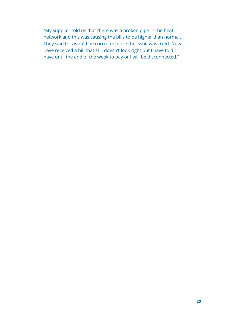"My supplier told us that there was a broken pipe in the heat network and this was causing the bills to be higher than normal. They said this would be corrected once the issue was fixed. Now I have received a bill that still doesn't look right but I have told I have until the end of the week to pay or I will be disconnected."